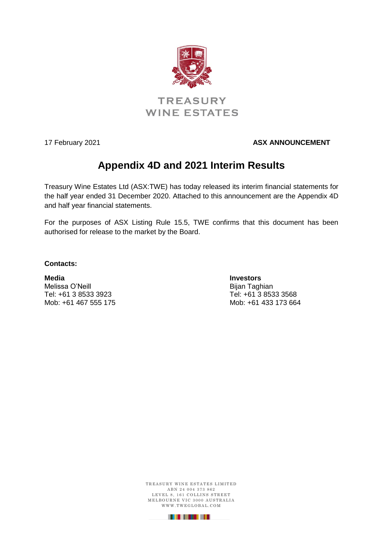

## **TREASURY WINE ESTATES**

## 17 February 2021 **ASX ANNOUNCEMENT**

# **Appendix 4D and 2021 Interim Results**

Treasury Wine Estates Ltd (ASX:TWE) has today released its interim financial statements for the half year ended 31 December 2020. Attached to this announcement are the Appendix 4D and half year financial statements.

For the purposes of ASX Listing Rule 15.5, TWE confirms that this document has been authorised for release to the market by the Board.

## **Contacts:**

**Media Investors** Tel: +61 3 8533 3923 Tel: +61 3 8533 3568 Mob: +61 467 555 175

Bijan Taghian

TREASURY WINE ESTATES LIMITED A B N 2 4 0 0 4 3 7 3 8 6 2 LEVEL 8, 161 COLLINS STREET M E L BOURNE VIC 3000 AUSTRALIA WWW.TWEGLOBAL.COM

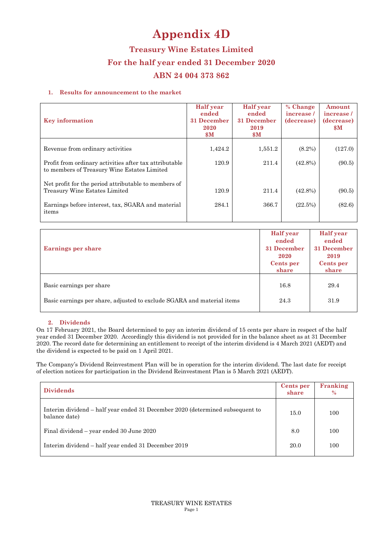# **Appendix 4D**

**Treasury Wine Estates Limited For the half year ended 31 December 2020 ABN 24 004 373 862** 

## **1. Results for announcement to the market**

| <b>Key information</b>                                                                                | <b>Half</b> year<br>ended<br>31 December<br>2020<br>$\mathbf{\$M}$ | <b>Half</b> year<br>ended<br>31 December<br>2019<br>$\mathbf{\$M}$ | % Change<br>increase/<br>(decrease) | Amount<br>increase/<br>(decrease)<br><b>SM</b> |
|-------------------------------------------------------------------------------------------------------|--------------------------------------------------------------------|--------------------------------------------------------------------|-------------------------------------|------------------------------------------------|
| Revenue from ordinary activities                                                                      | 1,424.2                                                            | 1,551.2                                                            | $(8.2\%)$                           | (127.0)                                        |
| Profit from ordinary activities after tax attributable<br>to members of Treasury Wine Estates Limited | 120.9                                                              | 211.4                                                              | $(42.8\%)$                          | (90.5)                                         |
| Net profit for the period attributable to members of<br>Treasury Wine Estates Limited                 | 120.9                                                              | 211.4                                                              | $(42.8\%)$                          | (90.5)                                         |
| Earnings before interest, tax, SGARA and material<br>items                                            | 284.1                                                              | 366.7                                                              | (22.5%)                             | (82.6)                                         |

|                                                                        | <b>Half</b> year<br>ended | <b>Half</b> year<br>ended |
|------------------------------------------------------------------------|---------------------------|---------------------------|
| Earnings per share                                                     | 31 December<br>2020       | 31 December<br>2019       |
|                                                                        | Cents per<br>share        | Cents per<br>share        |
|                                                                        |                           |                           |
| Basic earnings per share                                               | 16.8                      | 29.4                      |
| Basic earnings per share, adjusted to exclude SGARA and material items | 24.3                      | 31.9                      |

#### **2. Dividends**

On 17 February 2021, the Board determined to pay an interim dividend of 15 cents per share in respect of the half year ended 31 December 2020. Accordingly this dividend is not provided for in the balance sheet as at 31 December 2020. The record date for determining an entitlement to receipt of the interim dividend is 4 March 2021 (AEDT) and the dividend is expected to be paid on 1 April 2021.

The Company's Dividend Reinvestment Plan will be in operation for the interim dividend. The last date for receipt of election notices for participation in the Dividend Reinvestment Plan is 5 March 2021 (AEDT).

| <b>Dividends</b>                                                                               | Cents per<br>share | Franking<br>$\%$ |
|------------------------------------------------------------------------------------------------|--------------------|------------------|
| Interim dividend – half year ended 31 December 2020 (determined subsequent to<br>balance date) | 15.0               | 100              |
| Final dividend – year ended 30 June 2020                                                       | 8.0                | 100              |
| Interim dividend – half year ended 31 December 2019                                            | 20.0               | 100              |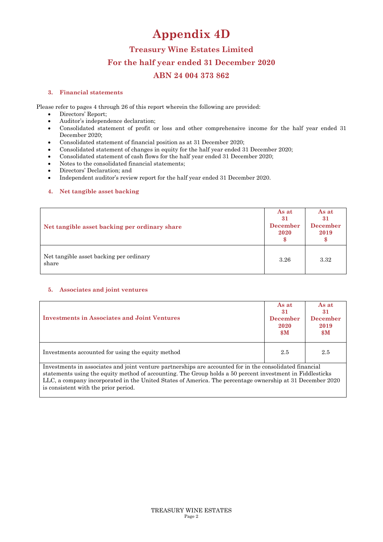# **Appendix 4D**

## **Treasury Wine Estates Limited For the half year ended 31 December 2020 ABN 24 004 373 862**

#### **3. Financial statements**

Please refer to pages 4 through 26 of this report wherein the following are provided:

- Directors' Report;
- Auditor's independence declaration;
- Consolidated statement of profit or loss and other comprehensive income for the half year ended 31 December 2020;
- Consolidated statement of financial position as at 31 December 2020;
- Consolidated statement of changes in equity for the half year ended 31 December 2020;
- Consolidated statement of cash flows for the half year ended 31 December 2020;
- Notes to the consolidated financial statements;
- Directors' Declaration; and
- Independent auditor's review report for the half year ended 31 December 2020.

## **4. Net tangible asset backing**

| Net tangible asset backing per ordinary share    | As at<br>31<br><b>December</b><br>2020 | As at<br>31<br><b>December</b><br>2019 |
|--------------------------------------------------|----------------------------------------|----------------------------------------|
| Net tangible asset backing per ordinary<br>share | 3.26                                   | 3.32                                   |

## **5. Associates and joint ventures**

| <b>Investments in Associates and Joint Ventures</b>                                                      | As at<br>31<br><b>December</b><br>2020<br>$\mathbf{\$M}$ | As at<br>31<br><b>December</b><br>2019<br>$\mathbf{\$M}$ |
|----------------------------------------------------------------------------------------------------------|----------------------------------------------------------|----------------------------------------------------------|
| Investments accounted for using the equity method                                                        | 2.5                                                      | 2.5                                                      |
| Investments in associates and joint venture partnerships are accounted for in the consolidated financial |                                                          |                                                          |

Investments in associates and joint venture partnerships are accounted for in the consolidated financial statements using the equity method of accounting. The Group holds a 50 percent investment in Fiddlesticks LLC, a company incorporated in the United States of America. The percentage ownership at 31 December 2020 is consistent with the prior period.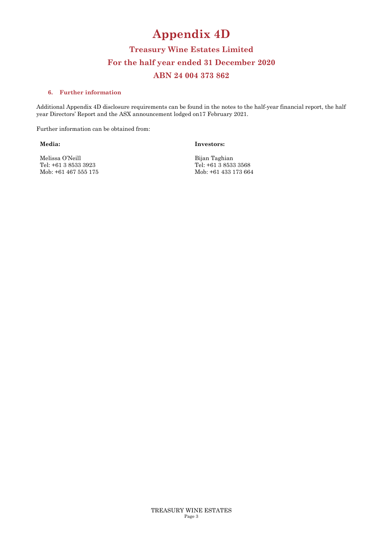# **Appendix 4D**

# **Treasury Wine Estates Limited For the half year ended 31 December 2020 ABN 24 004 373 862**

#### **6. Further information**

Additional Appendix 4D disclosure requirements can be found in the notes to the half-year financial report, the half year Directors' Report and the ASX announcement lodged on17 February 2021.

Further information can be obtained from:

**Media:** 

**Investors:** 

Melissa O'Neill Tel: +61 3 8533 3923 Mob: +61 467 555 175 Bijan Taghian Tel: +61 3 8533 3568 Mob: +61 433 173 664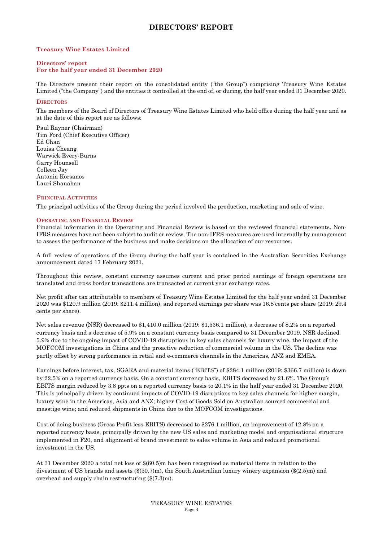## **DIRECTORS' REPORT**

#### **Treasury Wine Estates Limited**

#### **Directors' report For the half year ended 31 December 2020**

The Directors present their report on the consolidated entity ("the Group") comprising Treasury Wine Estates Limited ("the Company") and the entities it controlled at the end of, or during, the half year ended 31 December 2020.

#### **DIRECTORS**

The members of the Board of Directors of Treasury Wine Estates Limited who held office during the half year and as at the date of this report are as follows:

Paul Rayner (Chairman) Tim Ford (Chief Executive Officer) Ed Chan Louisa Cheang Warwick Every-Burns Garry Hounsell Colleen Jay Antonia Korsanos Lauri Shanahan

#### **PRINCIPAL ACTIVITIES**

The principal activities of the Group during the period involved the production, marketing and sale of wine.

#### **OPERATING AND FINANCIAL REVIEW**

Financial information in the Operating and Financial Review is based on the reviewed financial statements. Non-IFRS measures have not been subject to audit or review. The non-IFRS measures are used internally by management to assess the performance of the business and make decisions on the allocation of our resources.

A full review of operations of the Group during the half year is contained in the Australian Securities Exchange announcement dated 17 February 2021.

Throughout this review, constant currency assumes current and prior period earnings of foreign operations are translated and cross border transactions are transacted at current year exchange rates.

Net profit after tax attributable to members of Treasury Wine Estates Limited for the half year ended 31 December 2020 was \$120.9 million (2019: \$211.4 million), and reported earnings per share was 16.8 cents per share (2019: 29.4 cents per share).

Net sales revenue (NSR) decreased to \$1,410.0 million (2019: \$1,536.1 million), a decrease of 8.2% on a reported currency basis and a decrease of 5.9% on a constant currency basis compared to 31 December 2019. NSR declined 5.9% due to the ongoing impact of COVID-19 disruptions in key sales channels for luxury wine, the impact of the MOFCOM investigations in China and the proactive reduction of commercial volume in the US. The decline was partly offset by strong performance in retail and e-commerce channels in the Americas, ANZ and EMEA.

Earnings before interest, tax, SGARA and material items ("EBITS") of \$284.1 million (2019: \$366.7 million) is down by 22.5% on a reported currency basis. On a constant currency basis, EBITS decreased by 21.6%. The Group's EBITS margin reduced by 3.8 ppts on a reported currency basis to 20.1% in the half year ended 31 December 2020. This is principally driven by continued impacts of COVID-19 disruptions to key sales channels for higher margin, luxury wine in the Americas, Asia and ANZ; higher Cost of Goods Sold on Australian sourced commercial and masstige wine; and reduced shipments in China due to the MOFCOM investigations.

Cost of doing business (Gross Profit less EBITS) decreased to \$276.1 million, an improvement of 12.8% on a reported currency basis, principally driven by the new US sales and marketing model and organisational structure implemented in F20, and alignment of brand investment to sales volume in Asia and reduced promotional investment in the US.

At 31 December 2020 a total net loss of \$(60.5)m has been recognised as material items in relation to the divestment of US brands and assets (\$(50.7)m), the South Australian luxury winery expansion (\$(2.5)m) and overhead and supply chain restructuring (\$(7.3)m).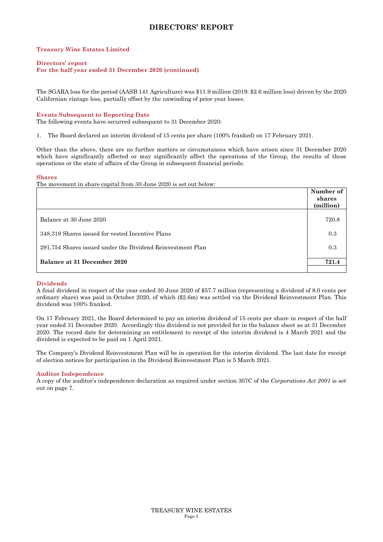## **DIRECTORS' REPORT**

#### **Treasury Wine Estates Limited**

#### **Directors' report**

#### **For the half year ended 31 December 2020 (continued)**

The SGARA loss for the period (AASB 141 Agriculture) was \$11.9 million (2019: \$2.6 million loss) driven by the 2020 Californian vintage loss, partially offset by the unwinding of prior year losses.

#### **Events Subsequent to Reporting Date**

The following events have occurred subsequent to 31 December 2020:

1. The Board declared an interim dividend of 15 cents per share (100% franked) on 17 February 2021.

Other than the above, there are no further matters or circumstances which have arisen since 31 December 2020 which have significantly affected or may significantly affect the operations of the Group, the results of those operations or the state of affairs of the Group in subsequent financial periods.

#### **Shares**

The movement in share capital from 30 June 2020 is set out below:

|                                                            | Number of<br>shares<br>(million) |
|------------------------------------------------------------|----------------------------------|
| Balance at 30 June 2020                                    | 720.8                            |
| 348,319 Shares issued for vested Incentive Plans           | 0.3                              |
| 291,754 Shares issued under the Dividend Reinvestment Plan | 0.3                              |
| Balance at 31 December 2020                                | 721.4                            |

#### **Dividends**

A final dividend in respect of the year ended 30 June 2020 of \$57.7 million (representing a dividend of 8.0 cents per ordinary share) was paid in October 2020, of which (\$2.6m) was settled via the Dividend Reinvestment Plan. This dividend was 100% franked.

On 17 February 2021, the Board determined to pay an interim dividend of 15 cents per share in respect of the half year ended 31 December 2020. Accordingly this dividend is not provided for in the balance sheet as at 31 December 2020. The record date for determining an entitlement to receipt of the interim dividend is 4 March 2021 and the dividend is expected to be paid on 1 April 2021.

The Company's Dividend Reinvestment Plan will be in operation for the interim dividend. The last date for receipt of election notices for participation in the Dividend Reinvestment Plan is 5 March 2021.

#### **Auditor Independence**

A copy of the auditor's independence declaration as required under section 307C of the *Corporations Act 2001* is set out on page 7.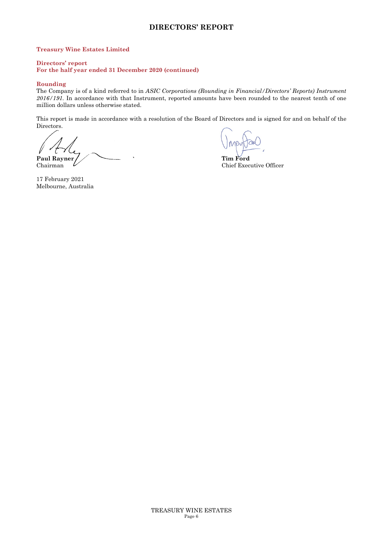## **DIRECTORS' REPORT**

#### **Treasury Wine Estates Limited**

#### **Directors' report**

**For the half year ended 31 December 2020 (continued)** 

#### **Rounding**

The Company is of a kind referred to in *ASIC Corporations (Rounding in Financial/Directors' Reports) Instrument 2016/191.* In accordance with that Instrument, reported amounts have been rounded to the nearest tenth of one million dollars unless otherwise stated.

This report is made in accordance with a resolution of the Board of Directors and is signed for and on behalf of the Directors.

Paul Rayner **Tim Ford Chairman Chairman Chairman Chairman Chairman Chairman Chairman Chairman Chairman Chairman Chairman Chairman Chairman Chairman Chairman Chairman Chairman Chairman**

 $\sim$ 

Chief Executive Officer

17 February 2021 Melbourne, Australia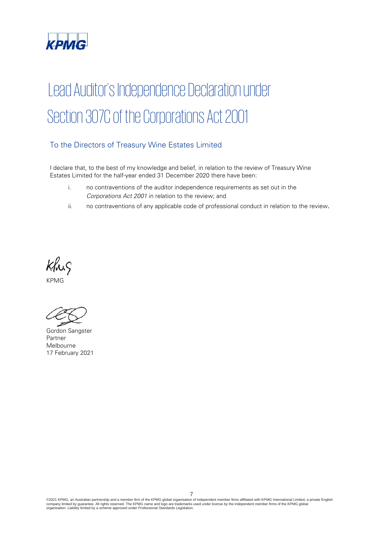

# Lead Auditor's Independence Declaration under Section 307C of the Corporations Act 2001

## To the Directors of Treasury Wine Estates Limited

I declare that, to the best of my knowledge and belief, in relation to the review of Treasury Wine Estates Limited for the half-year ended 31 December 2020 there have been:

- i. no contraventions of the auditor independence requirements as set out in the *Corporations Act 2001* in relation to the review; and
- ii. no contraventions of any applicable code of professional conduct in relation to the review.

Khis

KPMG

Gordon Sangster Partner Melbourne 17 February 2021

©2021 KPMG, an Australian partnership and a member firm of the KPMG global organisation of independent member firms affiliated with KPMG International Limited, a private English<br>company limited by guarantee. All rights re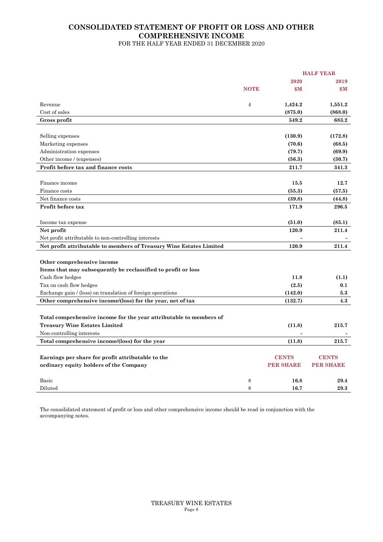#### **CONSOLIDATED STATEMENT OF PROFIT OR LOSS AND OTHER COMPREHENSIVE INCOME**  FOR THE HALF YEAR ENDED 31 DECEMBER 2020

**HALF YEAR 2020 2019 NOTE**  $M$  **\$M**  $M$ Revenue 4 **1,424.2 1,551.2** Cost of sales **(875.0) (868.0) Gross profit 549.2 683.2**  Selling expenses **(130.9) (172.8)** Marketing expenses **(70.6)** (68.5) Administration expenses **(79.7)** (69.9) Other income / (expenses) **(30.7)** (30.7) **Profit before tax and finance costs 211.7 341.3**  Finance income **15.5** 12.7 Finance costs **(55.3) (57.5)** Net finance costs **(39.8) (44.8) (44.8) (44.8) Profit before tax** 171.9 296.5 Income tax expense **(51.0) (85.1) Net profit 120.9 211.4**  Net profit attributable to non-controlling interests **Net profit attributable to members of Treasury Wine Estates Limited 120.9 211.4 Other comprehensive income Items that may subsequently be reclassified to profit or loss**  Cash flow hedges **11.8 (1.1)** Tax on cash flow hedges **(2.5)** 0.1 Exchange gain / (loss) on translation of foreign operations **(142.0) 5.3** Other comprehensive income/(loss) for the year, net of tax (132.7) 4.3 **Total comprehensive income for the year attributable to members of Treasury Wine Estates Limited (11.8) 215.7** Non-controlling interests Total comprehensive income/(loss) for the year (11.8) 215.7 **Earnings per share for profit attributable to the CENTS CENTS CENTS** CENTS CENTS **ordinary equity holders of the Company**  *OREF SHARE PER SHARE* **PER SHARE** *PER SHARE* Basic **16.8 16.8 16.8 29.4** Diluted 8 **16.7 29.3**

The consolidated statement of profit or loss and other comprehensive income should be read in conjunction with the accompanying notes.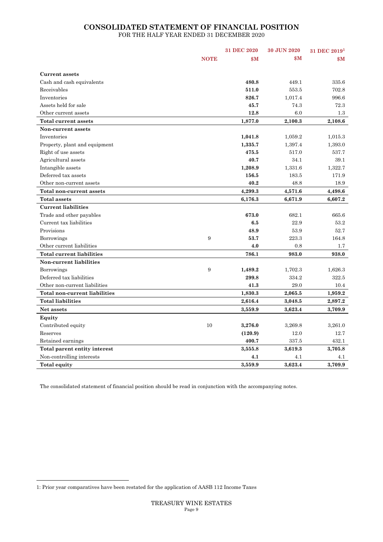## **CONSOLIDATED STATEMENT OF FINANCIAL POSITION**  FOR THE HALF YEAR ENDED 31 DECEMBER 2020

|                                |             | 31 DEC 2020 | 30 JUN 2020 | 31 DEC 2019 <sup>1</sup> |
|--------------------------------|-------------|-------------|-------------|--------------------------|
|                                | <b>NOTE</b> | \$M\$       | \$Μ         | $\mathbf{S} \mathbf{M}$  |
|                                |             |             |             |                          |
| <b>Current assets</b>          |             |             |             |                          |
| Cash and cash equivalents      |             | 480.8       | 449.1       | 335.6                    |
| Receivables                    |             | 511.0       | 553.5       | 702.8                    |
| Inventories                    |             | 826.7       | 1,017.4     | 996.6                    |
| Assets held for sale           |             | 45.7        | 74.3        | 72.3                     |
| Other current assets           |             | 12.8        | 6.0         | $1.3\,$                  |
| Total current assets           |             | 1,877.0     | 2,100.3     | 2,108.6                  |
| Non-current assets             |             |             |             |                          |
| Inventories                    |             | 1,041.8     | 1,059.2     | 1,015.3                  |
| Property, plant and equipment  |             | 1,335.7     | 1,397.4     | 1,393.0                  |
| Right of use assets            |             | 475.5       | 517.0       | 537.7                    |
| Agricultural assets            |             | 40.7        | 34.1        | 39.1                     |
| Intangible assets              |             | 1,208.9     | 1,331.6     | 1,322.7                  |
| Deferred tax assets            |             | 156.5       | 183.5       | 171.9                    |
| Other non-current assets       |             | 40.2        | 48.8        | 18.9                     |
| Total non-current assets       |             | 4,299.3     | 4,571.6     | 4,498.6                  |
| <b>Total assets</b>            |             | 6,176.3     | 6,671.9     | 6,607.2                  |
| <b>Current liabilities</b>     |             |             |             |                          |
| Trade and other payables       |             | 673.0       | 682.1       | 665.6                    |
| Current tax liabilities        |             | 6.5         | 22.9        | 53.2                     |
| Provisions                     |             | 48.9        | 53.9        | 52.7                     |
| Borrowings                     | 9           | 53.7        | 223.3       | 164.8                    |
| Other current liabilities      |             | 4.0         | 0.8         | $1.7\,$                  |
| Total current liabilities      |             | 786.1       | 983.0       | 938.0                    |
| <b>Non-current liabilities</b> |             |             |             |                          |
| Borrowings                     | 9           | 1,489.2     | 1,702.3     | 1,626.3                  |
| Deferred tax liabilities       |             | 299.8       | 334.2       | 322.5                    |
| Other non-current liabilities  |             | 41.3        | 29.0        | 10.4                     |
| Total non-current liabilities  |             | 1,830.3     | 2,065.5     | 1,959.2                  |
| <b>Total liabilities</b>       |             | 2,616.4     | 3,048.5     | 2,897.2                  |
| Net assets                     |             | 3,559.9     | 3,623.4     | 3,709.9                  |
| Equity                         |             |             |             |                          |
| Contributed equity             | 10          | 3,276.0     | 3,269.8     | 3,261.0                  |
| Reserves                       |             | (120.9)     | 12.0        | 12.7                     |
| Retained earnings              |             | 400.7       | 337.5       | 432.1                    |
| Total parent entity interest   |             | 3,555.8     | 3,619.3     | 3,705.8                  |
| Non-controlling interests      |             | 4.1         | 4.1         | 4.1                      |
| <b>Total equity</b>            |             | 3,559.9     | 3,623.4     | 3,709.9                  |

The consolidated statement of financial position should be read in conjunction with the accompanying notes.

<sup>1:</sup> Prior year comparatives have been restated for the application of AASB 112 Income Taxes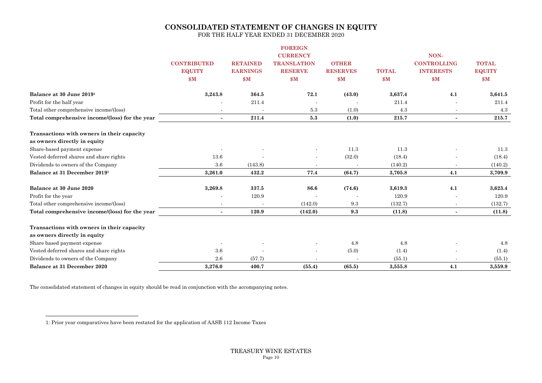## **CONSOLIDATED STATEMENT OF CHANGES IN EQUITY**

FOR THE HALF YEAR ENDED 31 DECEMBER 2020

|                                                |                          |                 | <b>FOREIGN</b>     |                                 |              |                          |                               |
|------------------------------------------------|--------------------------|-----------------|--------------------|---------------------------------|--------------|--------------------------|-------------------------------|
|                                                |                          |                 | <b>CURRENCY</b>    |                                 |              | NON-                     |                               |
|                                                | <b>CONTRIBUTED</b>       | <b>RETAINED</b> | <b>TRANSLATION</b> | <b>OTHER</b><br><b>RESERVES</b> |              | <b>CONTROLLING</b>       | <b>TOTAL</b><br><b>EQUITY</b> |
|                                                | <b>EQUITY</b>            | <b>EARNINGS</b> | <b>RESERVE</b>     |                                 | <b>TOTAL</b> | <b>INTERESTS</b>         |                               |
|                                                | \$M\$                    | \$M             | \$M                | \$M                             | \$M          | \$M\$                    | \$M                           |
| Balance at 30 June 2019 <sup>1</sup>           | 3,243.8                  | 364.5           | 72.1               | (43.0)                          | 3,637.4      | 4.1                      | 3,641.5                       |
| Profit for the half year                       |                          | 211.4           |                    |                                 | 211.4        |                          | 211.4                         |
| Total other comprehensive income/(loss)        | $\overline{\phantom{a}}$ |                 | 5.3                | (1.0)                           | 4.3          | $\overline{\phantom{a}}$ | 4.3                           |
| Total comprehensive income/(loss) for the year | $\sim$                   | 211.4           | 5.3                | (1.0)                           | 215.7        | $\blacksquare$           | 215.7                         |
| Transactions with owners in their capacity     |                          |                 |                    |                                 |              |                          |                               |
| as owners directly in equity                   |                          |                 |                    |                                 |              |                          |                               |
| Share-based payment expense                    |                          |                 |                    | 11.3                            | 11.3         |                          | 11.3                          |
| Vested deferred shares and share rights        | 13.6                     |                 |                    | (32.0)                          | (18.4)       |                          | (18.4)                        |
| Dividends to owners of the Company             | 3.6                      | (143.8)         |                    |                                 | (140.2)      |                          | (140.2)                       |
| Balance at 31 December 20191                   | 3,261.0                  | 432.2           | 77.4               | (64.7)                          | 3,705.8      | 4.1                      | 3,709.9                       |
| Balance at 30 June 2020                        | 3,269.8                  | 337.5           | 86.6               | (74.6)                          | 3,619.3      | 4.1                      | 3,623.4                       |
| Profit for the year                            |                          | 120.9           |                    |                                 | 120.9        |                          | 120.9                         |
| Total other comprehensive income/(loss)        |                          |                 | (142.0)            | 9.3                             | (132.7)      |                          | (132.7)                       |
| Total comprehensive income/(loss) for the year | $\sim$                   | 120.9           | (142.0)            | 9.3                             | (11.8)       | $\overline{\phantom{0}}$ | (11.8)                        |
| Transactions with owners in their capacity     |                          |                 |                    |                                 |              |                          |                               |
| as owners directly in equity                   |                          |                 |                    |                                 |              |                          |                               |
| Share based payment expense                    |                          |                 |                    | 4.8                             | 4.8          |                          | 4.8                           |
| Vested deferred shares and share rights        | 3.6                      |                 |                    | (5.0)                           | (1.4)        |                          | (1.4)                         |
| Dividends to owners of the Company             | 2.6                      | (57.7)          |                    |                                 | (55.1)       |                          | (55.1)                        |
| Balance at 31 December 2020                    | 3,276.0                  | 400.7           | (55.4)             | (65.5)                          | 3,555.8      | 4.1                      | 3,559.9                       |

The consolidated statement of changes in equity should be read in conjunction with the accompanying notes.

<sup>1:</sup> Prior year comparatives have been restated for the application of AASB 112 Income Taxes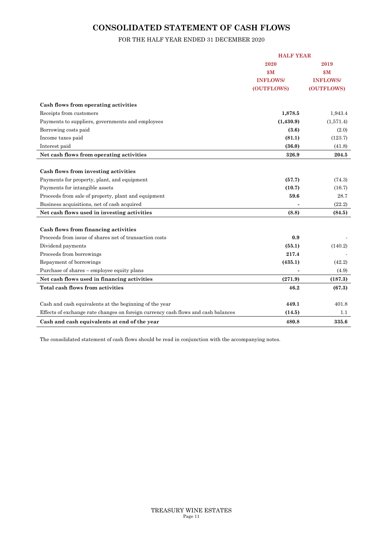## **CONSOLIDATED STATEMENT OF CASH FLOWS**

## FOR THE HALF YEAR ENDED 31 DECEMBER 2020

|                                                                                   | <b>HALF YEAR</b> |                 |
|-----------------------------------------------------------------------------------|------------------|-----------------|
|                                                                                   | 2020             | 2019            |
|                                                                                   | \$M              | \$M\$           |
|                                                                                   | <b>INFLOWS/</b>  | <b>INFLOWS/</b> |
|                                                                                   | (OUTFLOWS)       | (OUTFLOWS)      |
| Cash flows from operating activities                                              |                  |                 |
| Receipts from customers                                                           | 1,878.5          | 1,943.4         |
| Payments to suppliers, governments and employees                                  | (1,430.9)        | (1,571.4)       |
| Borrowing costs paid                                                              | (3.6)            | (2.0)           |
| Income taxes paid                                                                 | (81.1)           | (123.7)         |
| Interest paid                                                                     | (36.0)           | (41.8)          |
| Net cash flows from operating activities                                          | 326.9            | 204.5           |
|                                                                                   |                  |                 |
| Cash flows from investing activities                                              |                  |                 |
| Payments for property, plant, and equipment                                       | (57.7)           | (74.3)          |
| Payments for intangible assets                                                    | (10.7)           | (16.7)          |
| Proceeds from sale of property, plant and equipment                               | 59.6             | 28.7            |
| Business acquisitions, net of cash acquired                                       |                  | (22.2)          |
| Net cash flows used in investing activities                                       | (8.8)            | (84.5)          |
|                                                                                   |                  |                 |
| Cash flows from financing activities                                              |                  |                 |
| Proceeds from issue of shares net of transaction costs                            | 0.9              |                 |
| Dividend payments                                                                 | (55.1)           | (140.2)         |
| Proceeds from borrowings                                                          | 217.4            |                 |
| Repayment of borrowings                                                           | (435.1)          | (42.2)          |
| Purchase of shares – employee equity plans                                        |                  | (4.9)           |
| Net cash flows used in financing activities                                       | (271.9)          | (187.3)         |
| Total cash flows from activities                                                  | 46.2             | (67.3)          |
|                                                                                   |                  |                 |
| Cash and cash equivalents at the beginning of the year                            | 449.1            | 401.8           |
| Effects of exchange rate changes on foreign currency cash flows and cash balances | (14.5)           | 1.1             |
| Cash and cash equivalents at end of the year                                      | 480.8            | 335.6           |

The consolidated statement of cash flows should be read in conjunction with the accompanying notes.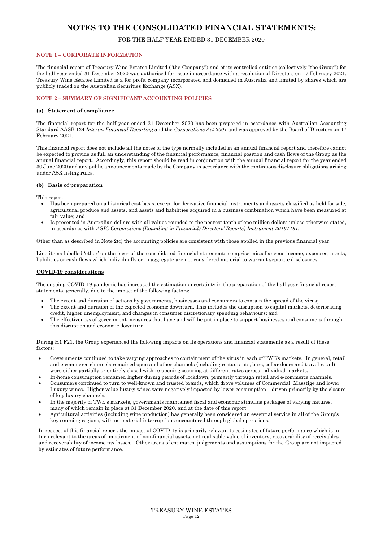## FOR THE HALF YEAR ENDED 31 DECEMBER 2020

#### **NOTE 1 – CORPORATE INFORMATION**

The financial report of Treasury Wine Estates Limited ("the Company") and of its controlled entities (collectively "the Group") for the half year ended 31 December 2020 was authorised for issue in accordance with a resolution of Directors on 17 February 2021. Treasury Wine Estates Limited is a for profit company incorporated and domiciled in Australia and limited by shares which are publicly traded on the Australian Securities Exchange (ASX).

#### **NOTE 2 – SUMMARY OF SIGNIFICANT ACCOUNTING POLICIES**

#### **(a) Statement of compliance**

The financial report for the half year ended 31 December 2020 has been prepared in accordance with Australian Accounting Standard AASB 134 *Interim Financial Reporting* and the *Corporations Act 2001* and was approved by the Board of Directors on 17 February 2021.

This financial report does not include all the notes of the type normally included in an annual financial report and therefore cannot be expected to provide as full an understanding of the financial performance, financial position and cash flows of the Group as the annual financial report. Accordingly, this report should be read in conjunction with the annual financial report for the year ended 30 June 2020 and any public announcements made by the Company in accordance with the continuous disclosure obligations arising under ASX listing rules.

#### **(b) Basis of preparation**

This report:

- Has been prepared on a historical cost basis, except for derivative financial instruments and assets classified as held for sale, agricultural produce and assets, and assets and liabilities acquired in a business combination which have been measured at fair value; and
- Is presented in Australian dollars with all values rounded to the nearest tenth of one million dollars unless otherwise stated, in accordance with *ASIC Corporations (Rounding in Financial/Directors' Reports) Instrument 2016/191.*

Other than as described in Note 2(c) the accounting policies are consistent with those applied in the previous financial year.

Line items labelled 'other' on the faces of the consolidated financial statements comprise miscellaneous income, expenses, assets, liabilities or cash flows which individually or in aggregate are not considered material to warrant separate disclosures.

#### **COVID-19 considerations**

The ongoing COVID-19 pandemic has increased the estimation uncertainty in the preparation of the half year financial report statements, generally, due to the impact of the following factors:

- The extent and duration of actions by governments, businesses and consumers to contain the spread of the virus;
- The extent and duration of the expected economic downturn. This includes the disruption to capital markets, deteriorating credit, higher unemployment, and changes in consumer discretionary spending behaviours; and
- The effectiveness of government measures that have and will be put in place to support businesses and consumers through this disruption and economic downturn.

During H1 F21, the Group experienced the following impacts on its operations and financial statements as a result of these factors:

- Governments continued to take varying approaches to containment of the virus in each of TWE's markets. In general, retail and e-commerce channels remained open and other channels (including restaurants, bars, cellar doors and travel retail) were either partially or entirely closed with re-opening occuring at different rates across individual markets.
- In-home consumption remained higher during periods of lockdown, primarily through retail and e-commerce channels.
- Consumers continued to turn to well-known and trusted brands, which drove volumes of Commercial, Masstige and lower Luxury wines. Higher value luxury wines were negatively impacted by lower consumption – driven primarily by the closure of key luxury channels.
- In the majority of TWE's markets, governments maintained fiscal and economic stimulus packages of varying natures, many of which remain in place at 31 December 2020, and at the date of this report.
- Agricultural activities (including wine production) has generally been considered an essential service in all of the Group's key sourcing regions, with no material interruptions encountered through global operations.

In respect of this financial report, the impact of COVID-19 is primarily relevant to estimates of future performance which is in turn relevant to the areas of impairment of non-financial assets, net realisable value of inventory, recoverability of receivables and recoverability of income tax losses. Other areas of estimates, judgements and assumptions for the Group are not impacted by estimates of future performance.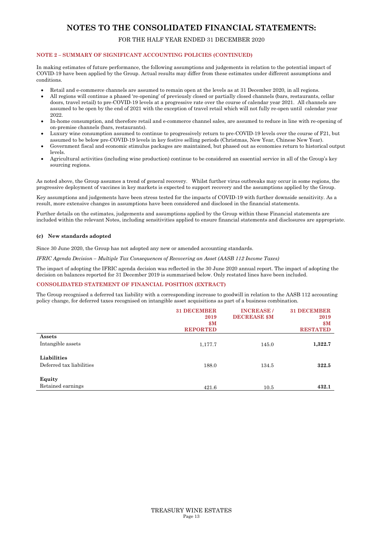## FOR THE HALF YEAR ENDED 31 DECEMBER 2020

#### **NOTE 2 – SUMMARY OF SIGNIFICANT ACCOUNTING POLICIES (CONTINUED)**

In making estimates of future performance, the following assumptions and judgements in relation to the potential impact of COVID-19 have been applied by the Group. Actual results may differ from these estimates under different assumptions and conditions.

- Retail and e-commerce channels are assumed to remain open at the levels as at 31 December 2020, in all regions.
- All regions will continue a phased 're-opening' of previously closed or partially closed channels (bars, restaurants, cellar doors, travel retail) to pre-COVID-19 levels at a progressive rate over the course of calendar year 2021. All channels are assumed to be open by the end of 2021 with the exception of travel retail which will not fully re-open until calendar year 2022.
- In-home consumption, and therefore retail and e-commerce channel sales, are assumed to reduce in line with re-opening of on-premise channels (bars, restaurants).
- Luxury wine consumption assumed to continue to progressively return to pre-COVID-19 levels over the course of F21, but assumed to be below pre-COVID-19 levels in key festive selling periods (Christmas, New Year, Chinese New Year).
- Government fiscal and economic stimulus packages are maintained, but phased out as economies return to historical output levels.
- Agricultural activities (including wine production) continue to be considered an essential service in all of the Group's key sourcing regions.

As noted above, the Group assumes a trend of general recovery. Whilst further virus outbreaks may occur in some regions, the progressive deployment of vaccines in key markets is expected to support recovery and the assumptions applied by the Group.

Key assumptions and judgements have been stress tested for the impacts of COVID-19 with further downside sensitivity. As a result, more extensive changes in assumptions have been considered and disclosed in the financial statements.

Further details on the estimates, judgements and assumptions applied by the Group within these Financial statements are included within the relevant Notes, including sensitivities applied to ensure financial statements and disclosures are appropriate.

#### **(c) New standards adopted**

Since 30 June 2020, the Group has not adopted any new or amended accounting standards.

*IFRIC Agenda Decision – Multiple Tax Consequences of Recovering an Asset (AASB 112 Income Taxes)* 

The impact of adopting the IFRIC agenda decision was reflected in the 30 June 2020 annual report. The impact of adopting the decision on balances reported for 31 December 2019 is summarised below. Only restated lines have been included.

#### **CONSOLIDATED STATEMENT OF FINANCIAL POSITION (EXTRACT)**

The Group recognised a deferred tax liability with a corresponding increase to goodwill in relation to the AASB 112 accounting policy change, for deferred taxes recognised on intangible asset acquisitions as part of a business combination.

|                                         | <b>31 DECEMBER</b><br>2019<br>$\mathbf{\$M}$<br><b>REPORTED</b> | <b>INCREASE/</b><br><b>DECREASE \$M</b> | <b>31 DECEMBER</b><br>2019<br>\$M<br><b>RESTATED</b> |
|-----------------------------------------|-----------------------------------------------------------------|-----------------------------------------|------------------------------------------------------|
| Assets<br>Intangible assets             | 1,177.7                                                         | 145.0                                   | 1,322.7                                              |
| Liabilities<br>Deferred tax liabilities | 188.0                                                           | 134.5                                   | 322.5                                                |
| Equity<br>Retained earnings             | 421.6                                                           | 10.5                                    | 432.1                                                |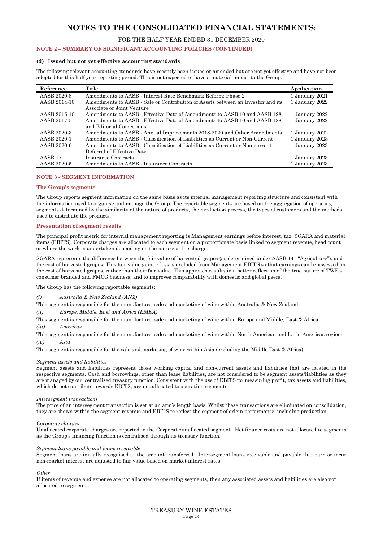#### FOR THE HALF YEAR ENDED 31 DECEMBER 2020

#### **NOTE 2 – SUMMARY OF SIGNIFICANT ACCOUNTING POLICIES (CONTINUED)**

#### **(d) Issued but not yet effective accounting standards**

The following relevant accounting standards have recently been issued or amended but are not yet effective and have not been adopted for this half year reporting period. This is not expected to have a material impact to the Group.

| Reference          | Title                                                                           | Application    |
|--------------------|---------------------------------------------------------------------------------|----------------|
| AASB 2020-8        | Amendments to AASB - Interest Rate Benchmark Reform: Phase 2                    | 1 January 2021 |
| AASB 2014-10       | Amendments to AASB - Sale or Contribution of Assets between an Investor and its | 1 January 2022 |
|                    | Associate or Joint Venture                                                      |                |
| AASB 2015-10       | Amendments to AASB - Effective Date of Amendments to AASB 10 and AASB 128       | 1 January 2022 |
| AASB 2017-5        | Amendments to AASB - Effective Date of Amendments to AASB 10 and AASB 128       | 1 January 2022 |
|                    | and Editorial Corrections                                                       |                |
| AASB 2020-3        | Amendments to AASB - Annual Improvements 2018-2020 and Other Amendments         | 1 January 2022 |
| AASB 2020-1        | Amendments to AASB - Classification of Liabilities as Current or Non-Current    | 1 January 2023 |
| AASB 2020-6        | Amendments to AASB - Classification of Liabilities as Current or Non-current -  | 1 January 2023 |
|                    | Deferral of Effective Date                                                      |                |
| AASB <sub>17</sub> | <b>Insurance Contracts</b>                                                      | 1 January 2023 |
| AASB 2020-5        | Amendments to AASB - Insurance Contracts                                        | 1 January 2023 |

#### **NOTE 3 - SEGMENT INFORMATION**

#### **The Group's segments**

The Group reports segment information on the same basis as its internal management reporting structure and consistent with the information used to organise and manage the Group. The reportable segments are based on the aggregation of operating segments determined by the similarity of the nature of products, the production process, the types of customers and the methods used to distribute the products.

#### **Presentation of segment results**

The principal profit metric for internal management reporting is Management earnings before interest, tax, SGARA and material items (EBITS). Corporate charges are allocated to each segment on a proportionate basis linked to segment revenue, head count or where the work is undertaken depending on the nature of the charge.

SGARA represents the difference between the fair value of harvested grapes (as determined under AASB 141 "Agriculture"), and the cost of harvested grapes. This fair value gain or loss is excluded from Management EBITS so that earnings can be assessed on the cost of harvested grapes, rather than their fair value. This approach results in a better reflection of the true nature of TWE's consumer branded and FMCG business, and to improves comparability with domestic and global peers.

The Group has the following reportable segments:

#### *(i) Australia & New Zealand (ANZ)*

This segment is responsible for the manufacture, sale and marketing of wine within Australia & New Zealand.

#### *(ii) Europe, Middle, East and Africa (EMEA)*

This segment is responsible for the manufacture, sale and marketing of wine within Europe and Middle, East & Africa.

*(iii) Americas* 

This segment is responsible for the manufacture, sale and marketing of wine within North American and Latin Americas regions. *(iv) Asia* 

This segment is responsible for the sale and marketing of wine within Asia (excluding the Middle East & Africa).

#### *Segment assets and liabilities*

Segment assets and liabilities represent those working capital and non-current assets and liabilities that are located in the respective segments. Cash and borrowings, other than lease liabilities, are not considered to be segment assets/liabilities as they are managed by our centralised treasury function. Consistent with the use of EBITS for measuring profit, tax assets and liabilities, which do not contribute towards EBITS, are not allocated to operating segments.

#### *Intersegment transactions*

The price of an intersegment transaction is set at an arm's length basis. Whilst these transactions are eliminated on consolidation, they are shown within the segment revenue and EBITS to reflect the segment of origin performance, including production.

#### *Corporate charges*

Unallocated corporate charges are reported in the Corporate/unallocated segment. Net finance costs are not allocated to segments as the Group's financing function is centralised through its treasury function.

#### *Segment loans payable and loans receivable*

Segment loans are initially recognised at the amount transferred. Intersegment loans receivable and payable that earn or incur non-market interest are adjusted to fair value based on market interest rates.

#### *Other*

If items of revenue and expense are not allocated to operating segments, then any associated assets and liabilities are also not allocated to segments.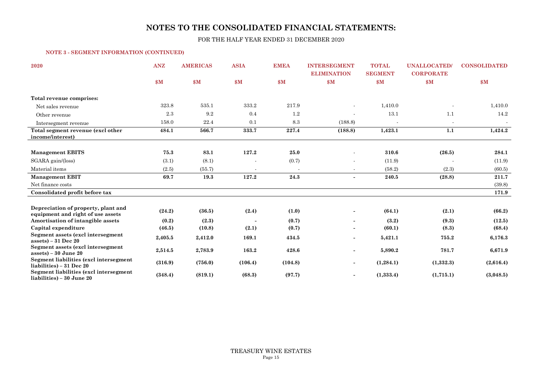FOR THE HALF YEAR ENDED 31 DECEMBER 2020

#### **NOTE 3 - SEGMENT INFORMATION (CONTINUED)**

| 2020                                                                | <b>ANZ</b> | <b>AMERICAS</b> | <b>ASIA</b>           | <b>EMEA</b> | <b>INTERSEGMENT</b><br><b>ELIMINATION</b> | <b>TOTAL</b><br><b>SEGMENT</b> | <b>UNALLOCATED</b><br><b>CORPORATE</b> | <b>CONSOLIDATED</b> |
|---------------------------------------------------------------------|------------|-----------------|-----------------------|-------------|-------------------------------------------|--------------------------------|----------------------------------------|---------------------|
|                                                                     | \$M\$      | $\mathbf{\$M}$  | $\mathbf{S}$ <b>M</b> | \$M         | \$M\$                                     | \$M                            | \$M                                    | $\mathbf{s}$ M      |
| Total revenue comprises:                                            |            |                 |                       |             |                                           |                                |                                        |                     |
| Net sales revenue                                                   | 323.8      | 535.1           | 333.2                 | 217.9       |                                           | 1,410.0                        |                                        | 1,410.0             |
| Other revenue                                                       | 2.3        | 9.2             | 0.4                   | 1.2         |                                           | 13.1                           | 1.1                                    | 14.2                |
| Intersegment revenue                                                | 158.0      | 22.4            | 0.1                   | 8.3         | (188.8)                                   |                                |                                        |                     |
| Total segment revenue (excl other<br>income/interest)               | 484.1      | 566.7           | 333.7                 | 227.4       | (188.8)                                   | 1,423.1                        | 1.1                                    | 1,424.2             |
| <b>Management EBITS</b>                                             | 75.3       | 83.1            | 127.2                 | 25.0        |                                           | 310.6                          | (26.5)                                 | 284.1               |
| SGARA gain/(loss)                                                   | (3.1)      | (8.1)           |                       | (0.7)       | $\blacksquare$                            | (11.9)                         |                                        | (11.9)              |
| Material items                                                      | (2.5)      | (55.7)          |                       |             | $\blacksquare$                            | (58.2)                         | (2.3)                                  | (60.5)              |
| <b>Management EBIT</b>                                              | 69.7       | 19.3            | 127.2                 | 24.3        | $\overline{\phantom{0}}$                  | 240.5                          | (28.8)                                 | 211.7               |
| Net finance costs                                                   |            |                 |                       |             |                                           |                                |                                        | (39.8)              |
| Consolidated profit before tax                                      |            |                 |                       |             |                                           |                                |                                        | 171.9               |
| Depreciation of property, plant and                                 |            |                 |                       |             |                                           |                                |                                        |                     |
| equipment and right of use assets                                   | (24.2)     | (36.5)          | (2.4)                 | (1.0)       |                                           | (64.1)                         | (2.1)                                  | (66.2)              |
| Amortisation of intangible assets                                   | (0.2)      | (2.3)           | $\blacksquare$        | (0.7)       | $\blacksquare$                            | (3.2)                          | (9.3)                                  | (12.5)              |
| Capital expenditure                                                 | (46.5)     | (10.8)          | (2.1)                 | (0.7)       | $\overline{\phantom{a}}$                  | (60.1)                         | (8.3)                                  | (68.4)              |
| Segment assets (excl intersegment<br>$assets$ ) – 31 Dec 20         | 2,405.5    | 2,412.0         | 169.1                 | 434.5       | $\blacksquare$                            | 5,421.1                        | 755.2                                  | 6,176.3             |
| Segment assets (excl intersegment<br>$assets$ ) – 30 June 20        | 2,514.5    | 2,783.9         | 163.2                 | 428.6       | $\blacksquare$                            | 5,890.2                        | 781.7                                  | 6,671.9             |
| Segment liabilities (excl intersegment<br>liabilities) – 31 Dec 20  | (316.9)    | (756.0)         | (106.4)               | (104.8)     | $\overline{\phantom{a}}$                  | (1,284.1)                      | (1,332.3)                              | (2,616.4)           |
| Segment liabilities (excl intersegment<br>liabilities) – 30 June 20 | (348.4)    | (819.1)         | (68.3)                | (97.7)      |                                           | (1,333.4)                      | (1,715.1)                              | (3,048.5)           |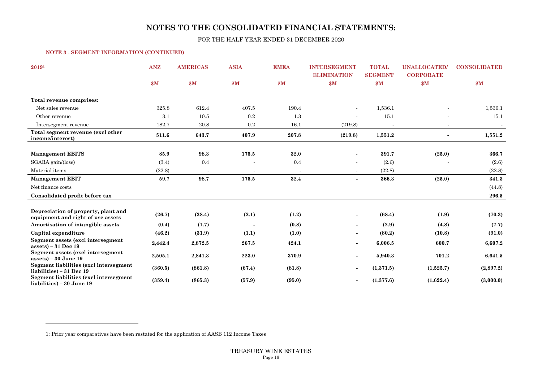FOR THE HALF YEAR ENDED 31 DECEMBER 2020

#### **NOTE 3 - SEGMENT INFORMATION (CONTINUED)**

| 20191                                                                    | <b>ANZ</b> | <b>AMERICAS</b> | <b>ASIA</b>              | <b>EMEA</b> | <b>INTERSEGMENT</b><br><b>ELIMINATION</b> | <b>TOTAL</b><br><b>SEGMENT</b> | <b>UNALLOCATED</b><br><b>CORPORATE</b> | <b>CONSOLIDATED</b> |
|--------------------------------------------------------------------------|------------|-----------------|--------------------------|-------------|-------------------------------------------|--------------------------------|----------------------------------------|---------------------|
|                                                                          | \$M\$      | \$M             | \$M                      | \$M\$       | \$M                                       | \$M                            | \$M                                    | $\mathbf{S}$ M      |
| Total revenue comprises:                                                 |            |                 |                          |             |                                           |                                |                                        |                     |
| Net sales revenue                                                        | 325.8      | 612.4           | 407.5                    | 190.4       |                                           | 1,536.1                        |                                        | 1,536.1             |
| Other revenue                                                            | 3.1        | 10.5            | 0.2                      | 1.3         | $\blacksquare$                            | 15.1                           |                                        | 15.1                |
| Intersegment revenue                                                     | 182.7      | 20.8            | 0.2                      | 16.1        | (219.8)                                   |                                |                                        |                     |
| Total segment revenue (excl other<br>income/interest)                    | 511.6      | 643.7           | 407.9                    | 207.8       | (219.8)                                   | 1,551.2                        |                                        | 1,551.2             |
| <b>Management EBITS</b>                                                  | 85.9       | 98.3            | 175.5                    | 32.0        |                                           | 391.7                          | (25.0)                                 | 366.7               |
| SGARA gain/(loss)                                                        | (3.4)      | 0.4             |                          | 0.4         |                                           | (2.6)                          |                                        | (2.6)               |
| Material items                                                           | (22.8)     | $\blacksquare$  | $\overline{\phantom{a}}$ | $\sim$      | $\blacksquare$                            | (22.8)                         | $\blacksquare$                         | (22.8)              |
| <b>Management EBIT</b>                                                   | 59.7       | 98.7            | 175.5                    | 32.4        | $\blacksquare$                            | 366.3                          | (25.0)                                 | 341.3               |
| Net finance costs                                                        |            |                 |                          |             |                                           |                                |                                        | (44.8)              |
| Consolidated profit before tax                                           |            |                 |                          |             |                                           |                                |                                        | 296.5               |
|                                                                          |            |                 |                          |             |                                           |                                |                                        |                     |
| Depreciation of property, plant and<br>equipment and right of use assets | (26.7)     | (38.4)          | (2.1)                    | (1.2)       | $\overline{\phantom{a}}$                  | (68.4)                         | (1.9)                                  | (70.3)              |
| Amortisation of intangible assets                                        | (0.4)      | (1.7)           | $\blacksquare$           | (0.8)       | $\sim$                                    | (2.9)                          | (4.8)                                  | (7.7)               |
| Capital expenditure                                                      | (46.2)     | (31.9)          | (1.1)                    | (1.0)       |                                           | (80.2)                         | (10.8)                                 | (91.0)              |
| Segment assets (excl intersegment<br>assets) – $31$ Dec 19               | 2,442.4    | 2,872.5         | 267.5                    | 424.1       | $\overline{\phantom{a}}$                  | 6,006.5                        | 600.7                                  | 6,607.2             |
| Segment assets (excl intersegment<br>$assets$ ) – 30 June 19             | 2,505.1    | 2,841.3         | 223.0                    | 370.9       |                                           | 5,940.3                        | 701.2                                  | 6,641.5             |
| Segment liabilities (excl intersegment<br>liabilities) – 31 Dec 19       | (360.5)    | (861.8)         | (67.4)                   | (81.8)      | $\overline{\phantom{a}}$                  | (1,371.5)                      | (1,525.7)                              | (2,897.2)           |
| Segment liabilities (excl intersegment<br>liabilities) – 30 June 19      | (359.4)    | (865.3)         | (57.9)                   | (95.0)      | $\overline{\phantom{a}}$                  | (1,377.6)                      | (1,622.4)                              | (3,000.0)           |

1: Prior year comparatives have been restated for the application of AASB 112 Income Taxes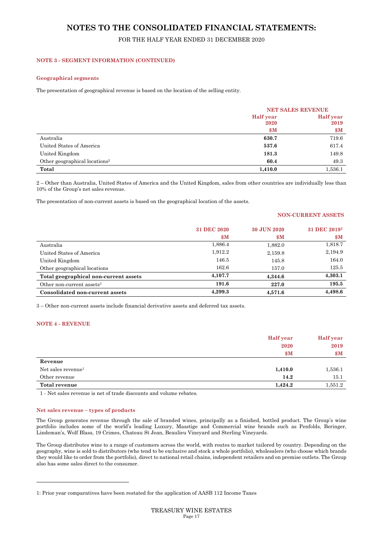## FOR THE HALF YEAR ENDED 31 DECEMBER 2020

#### **NOTE 3 - SEGMENT INFORMATION (CONTINUED)**

#### **Geographical segments**

The presentation of geographical revenue is based on the location of the selling entity.

|                                           | <b>NET SALES REVENUE</b> |                  |
|-------------------------------------------|--------------------------|------------------|
|                                           | <b>Half</b> year         | <b>Half</b> year |
|                                           | 2020                     | 2019             |
|                                           | \$M                      | \$M\$            |
| Australia                                 | 630.7                    | 719.6            |
| United States of America                  | 537.6                    | 617.4            |
| United Kingdom                            | 181.3                    | 149.8            |
| Other geographical locations <sup>2</sup> | 60.4                     | 49.3             |
| Total                                     | 1,410.0                  | 1,536.1          |

2 – Other than Australia, United States of America and the United Kingdom, sales from other countries are individually less than 10% of the Group's net sales revenue.

The presentation of non-current assets is based on the geographical location of the assets.

#### **NON-CURRENT ASSETS**

|                                       | 31 DEC 2020    | 30 JUN 2020    | 31 DEC 2019 <sup>1</sup> |
|---------------------------------------|----------------|----------------|--------------------------|
|                                       | $\mathbf{\$M}$ | $\mathbf{\$M}$ | $\mathbf{\$M}$           |
| Australia                             | 1,886.4        | 1,882.0        | 1,818.7                  |
| United States of America              | 1,912.2        | 2,159.8        | 2,194.9                  |
| United Kingdom                        | 146.5          | 145.8          | 164.0                    |
| Other geographical locations          | 162.6          | 157.0          | 125.5                    |
| Total geographical non-current assets | 4,107.7        | 4,344.6        | 4,303.1                  |
| Other non-current assets $3$          | 191.6          | 227.0          | 195.5                    |
| Consolidated non-current assets       | 4,299.3        | 4.571.6        | 4,498.6                  |

3 – Other non-current assets include financial derivative assets and deferred tax assets.

#### **NOTE 4 - REVENUE**

|                                | <b>Half</b> year | Half year |
|--------------------------------|------------------|-----------|
|                                | 2020             | 2019      |
|                                | \$M\$            | \$M\$     |
| Revenue                        |                  |           |
| Net sales revenue <sup>1</sup> | 1,410.0          | 1,536.1   |
| Other revenue                  | 14.2             | 15.1      |
| Total revenue                  | 1,424.2          | 1,551.2   |

1 - Net sales revenue is net of trade discounts and volume rebates.

#### **Net sales revenue – types of products**

The Group generates revenue through the sale of branded wines, principally as a finished, bottled product. The Group's wine portfolio includes some of the world's leading Luxury, Masstige and Commercial wine brands such as Penfolds, Beringer, Lindeman's, Wolf Blass, 19 Crimes, Chateau St Jean, Beaulieu Vineyard and Sterling Vineyards.

The Group distributes wine to a range of customers across the world, with routes to market tailored by country. Depending on the geography, wine is sold to distributors (who tend to be exclusive and stock a whole portfolio), wholesalers (who choose which brands they would like to order from the portfolio), direct to national retail chains, independent retailers and on premise outlets. The Group also has some sales direct to the consumer.

<sup>1:</sup> Prior year comparatives have been restated for the application of AASB 112 Income Taxes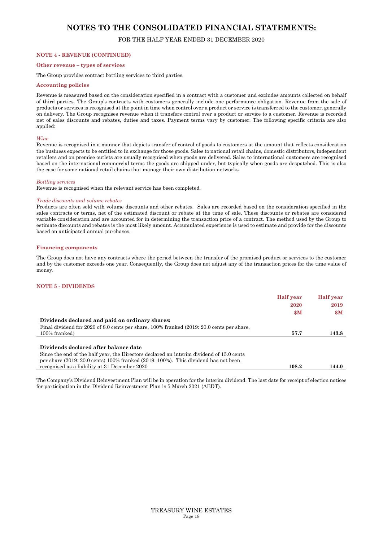## FOR THE HALF YEAR ENDED 31 DECEMBER 2020

#### **NOTE 4 - REVENUE (CONTINUED)**

## **Other revenue – types of services**

The Group provides contract bottling services to third parties.

#### **Accounting policies**

Revenue is measured based on the consideration specified in a contract with a customer and excludes amounts collected on behalf of third parties. The Group's contracts with customers generally include one performance obligation. Revenue from the sale of products or services is recognised at the point in time when control over a product or service is transferred to the customer, generally on delivery. The Group recognises revenue when it transfers control over a product or service to a customer. Revenue is recorded net of sales discounts and rebates, duties and taxes. Payment terms vary by customer. The following specific criteria are also applied:

#### *Wine*

Revenue is recognised in a manner that depicts transfer of control of goods to customers at the amount that reflects consideration the business expects to be entitled to in exchange for those goods. Sales to national retail chains, domestic distributors, independent retailers and on premise outlets are usually recognised when goods are delivered. Sales to international customers are recognised based on the international commercial terms the goods are shipped under, but typically when goods are despatched. This is also the case for some national retail chains that manage their own distribution networks.

#### *Bottling services*

Revenue is recognised when the relevant service has been completed.

#### *Trade discounts and volume rebates*

Products are often sold with volume discounts and other rebates. Sales are recorded based on the consideration specified in the sales contracts or terms, net of the estimated discount or rebate at the time of sale. These discounts or rebates are considered variable consideration and are accounted for in determining the transaction price of a contract. The method used by the Group to estimate discounts and rebates is the most likely amount. Accumulated experience is used to estimate and provide for the discounts based on anticipated annual purchases.

#### **Financing components**

The Group does not have any contracts where the period between the transfer of the promised product or services to the customer and by the customer exceeds one year. Consequently, the Group does not adjust any of the transaction prices for the time value of money.

#### **NOTE 5 - DIVIDENDS**

|                                                                                                  | <b>Half</b> year | <b>Half</b> year |
|--------------------------------------------------------------------------------------------------|------------------|------------------|
|                                                                                                  | 2020             | 2019             |
|                                                                                                  | $\mathbf{\$M}$   | $\mathbf{S}$ M   |
| Dividends declared and paid on ordinary shares:                                                  |                  |                  |
| Final dividend for 2020 of 8.0 cents per share, 100% franked (2019: 20.0 cents per share,        |                  |                  |
| 100% franked)                                                                                    | 57.7             | 143.8            |
|                                                                                                  |                  |                  |
| Dividends declared after balance date                                                            |                  |                  |
| Since the end of the half year, the Directors declared an interim dividend of 15.0 cents         |                  |                  |
| per share $(2019: 20.0 \text{ cents})$ 100% franked $(2019: 100\%)$ . This dividend has not been |                  |                  |
| recognised as a liability at 31 December 2020                                                    | 108.2            | 144.0            |
|                                                                                                  |                  |                  |

The Company's Dividend Reinvestment Plan will be in operation for the interim dividend. The last date for receipt of election notices for participation in the Dividend Reinvestment Plan is 5 March 2021 (AEDT).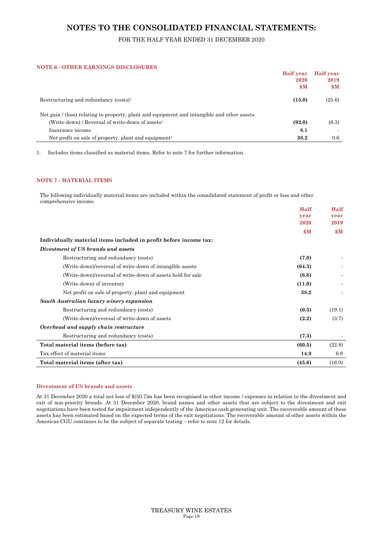## FOR THE HALF YEAR ENDED 31 DECEMBER 2020

#### **NOTE 6 - OTHER EARNINGS DISCLOSURES**

|                                                                                             | <b>Half</b> year | <b>Half</b> year |
|---------------------------------------------------------------------------------------------|------------------|------------------|
|                                                                                             | 2020             | 2019             |
|                                                                                             | $\mathbf{\$M}$   | $\mathbf{\$M}$   |
| Restructuring and redundancy $(costs)^1$                                                    | (15.0)           | (25.6)           |
| Net gain / (loss) relating to property, plant and equipment and intangible and other assets |                  |                  |
| (Write-down) / Reversal of write-down of assets <sup>1</sup>                                | (92.0)           | (6.3)            |
| Insurance income                                                                            | 8.1              |                  |
| Net profit on sale of property, plant and equipment <sup>1</sup>                            | 38.2             | 0.6              |

1. Includes items classified as material items. Refer to note 7 for further information.

#### **NOTE 7 - MATERIAL ITEMS**

The following individually material items are included within the consolidated statement of profit or loss and other comprehensive income.

|                                                                   | Half           | Half           |
|-------------------------------------------------------------------|----------------|----------------|
|                                                                   | year           | year           |
|                                                                   | 2020           | 2019           |
|                                                                   | $\mathbf{\$M}$ | $\mathbf{S}$ M |
| Individually material items included in profit before income tax: |                |                |
| Divestment of US brands and assets                                |                |                |
| Restructuring and redundancy (costs)                              | (7.0)          |                |
| (Write-down)/reversal of write-down of intangible assets          | (64.3)         |                |
| (Write-down)/reversal of write-down of assets held for sale       | (6.6)          |                |
| (Write-down) of inventory                                         | (11.0)         |                |
| Net profit on sale of property, plant and equipment               | 38.2           |                |
| South Australian luxury winery expansion                          |                |                |
| Restructuring and redundancy (costs)                              | (0.3)          | (19.1)         |
| (Write-down)/reversal of write-down of assets                     | (2.2)          | (3.7)          |
| Overhead and supply chain restructure                             |                |                |
| Restructuring and redundancy (costs)                              | (7.3)          |                |
| Total material items (before tax)                                 | (60.5)         | (22.8)         |
| Tax effect of material items                                      | 14.9           | 6.8            |
| Total material items (after tax)                                  | (45.6)         | (16.0)         |

#### **Divestment of US brands and assets**

At 31 December 2020 a total net loss of \$(50.7)m has been recognised in other income / expenses in relation to the divestment and exit of non-priority brands. At 31 December 2020, brand names and other assets that are subject to the divestment and exit negotiations have been tested for impairment independently of the Americas cash generating unit. The recoverable amount of these assets has been estimated based on the expected terms of the exit negotiations. The recoverable amount of other assets within the Americas CGU continues to be the subject of separate testing – refer to note 12 for details.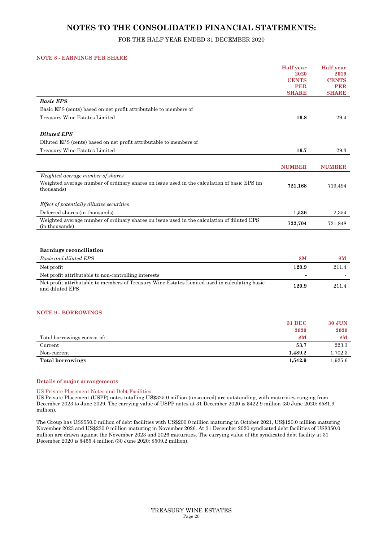## FOR THE HALF YEAR ENDED 31 DECEMBER 2020

#### **NOTE 8 - EARNINGS PER SHARE**

|                                                                                                                  | <b>Half</b> year     | <b>Half</b> year     |
|------------------------------------------------------------------------------------------------------------------|----------------------|----------------------|
|                                                                                                                  | 2020<br><b>CENTS</b> | 2019<br><b>CENTS</b> |
|                                                                                                                  | <b>PER</b>           | <b>PER</b>           |
|                                                                                                                  | <b>SHARE</b>         | <b>SHARE</b>         |
| <b>Basic EPS</b>                                                                                                 |                      |                      |
| Basic EPS (cents) based on net profit attributable to members of                                                 |                      |                      |
| Treasury Wine Estates Limited                                                                                    | 16.8                 | 29.4                 |
| <b>Diluted EPS</b>                                                                                               |                      |                      |
| Diluted EPS (cents) based on net profit attributable to members of                                               |                      |                      |
| Treasury Wine Estates Limited                                                                                    | 16.7                 | 29.3                 |
|                                                                                                                  |                      |                      |
|                                                                                                                  | <b>NUMBER</b>        | <b>NUMBER</b>        |
| Weighted average number of shares                                                                                |                      |                      |
| Weighted average number of ordinary shares on issue used in the calculation of basic EPS (in<br>thousands)       | 721,168              | 719,494              |
|                                                                                                                  |                      |                      |
| Effect of potentially dilutive securities                                                                        |                      |                      |
| Deferred shares (in thousands)                                                                                   | 1,536                | 2,354                |
| Weighted average number of ordinary shares on issue used in the calculation of diluted EPS<br>(in thousands)     | 722,704              | 721,848              |
|                                                                                                                  |                      |                      |
| <b>Earnings reconciliation</b>                                                                                   |                      |                      |
| Basic and diluted EPS                                                                                            | \$M                  | $\mathbf{S}$ M       |
| Net profit                                                                                                       | 120.9                | 211.4                |
| Net profit attributable to non-controlling interests                                                             |                      |                      |
| Net profit attributable to members of Treasury Wine Estates Limited used in calculating basic<br>and diluted EPS | 120.9                | 211.4                |
|                                                                                                                  |                      |                      |
| <b>NOTE 9 - BORROWINGS</b>                                                                                       |                      |                      |
|                                                                                                                  | <b>31 DEC</b>        | <b>30 JUN</b>        |
|                                                                                                                  | 2020                 | 2020                 |
| Total borrowings consist of:                                                                                     | $\mathbf{\$M}$       | $\mathbf{S}$ M       |
|                                                                                                                  |                      |                      |

| Non-current      | 1.489.2 | L.702.3 |
|------------------|---------|---------|
| Total borrowings | 1.542.9 | .925.6  |
|                  |         |         |

#### **Details of major arrangements**

#### US Private Placement Notes and Debt Facilities

US Private Placement (USPP) notes totalling US\$325.0 million (unsecured) are outstanding, with maturities ranging from December 2023 to June 2029. The carrying value of USPP notes at 31 December 2020 is \$422.9 million (30 June 2020: \$581.9 million).

The Group has US\$550.0 million of debt facilities with US\$200.0 million maturing in October 2021, US\$120.0 million maturing November 2023 and US\$230.0 million maturing in November 2026. At 31 December 2020 syndicated debt facilities of US\$350.0 million are drawn against the November 2023 and 2026 maturities. The carrying value of the syndicated debt facility at 31 December 2020 is \$455.4 million (30 June 2020: \$509.2 million).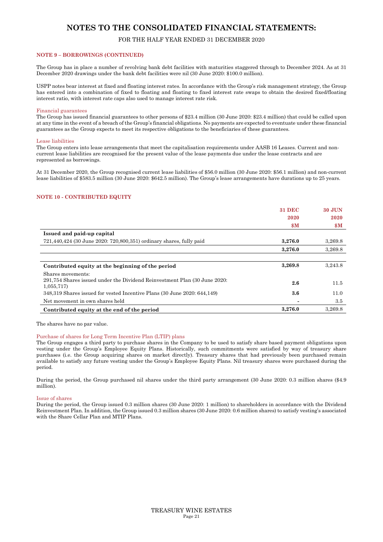## FOR THE HALF YEAR ENDED 31 DECEMBER 2020

#### **NOTE 9 – BORROWINGS (CONTINUED)**

The Group has in place a number of revolving bank debt facilities with maturities staggered through to December 2024. As at 31 December 2020 drawings under the bank debt facilities were nil (30 June 2020: \$100.0 million).

USPP notes bear interest at fixed and floating interest rates. In accordance with the Group's risk management strategy, the Group has entered into a combination of fixed to floating and floating to fixed interest rate swaps to obtain the desired fixed/floating interest ratio, with interest rate caps also used to manage interest rate risk.

#### Financial guarantees

The Group has issued financial guarantees to other persons of \$23.4 million (30 June 2020: \$23.4 million) that could be called upon at any time in the event of a breach of the Group's financial obligations. No payments are expected to eventuate under these financial guarantees as the Group expects to meet its respective obligations to the beneficiaries of these guarantees.

#### Lease liabilities

The Group enters into lease arrangements that meet the capitalisation requirements under AASB 16 Leases. Current and noncurrent lease liabilities are recognised for the present value of the lease payments due under the lease contracts and are represented as borrowings.

At 31 December 2020, the Group recognised current lease liabilities of \$56.0 million (30 June 2020: \$56.1 million) and non-current lease liabilities of \$583.5 million (30 June 2020: \$642.5 million). The Group's lease arrangements have durations up to 25 years.

#### **NOTE 10 - CONTRIBUTED EQUITY**

|                                                                                         | <b>31 DEC</b>  | <b>30 JUN</b>  |
|-----------------------------------------------------------------------------------------|----------------|----------------|
|                                                                                         | 2020           | 2020           |
|                                                                                         | $\mathbf{\$M}$ | $\mathbf{S}$ M |
| Issued and paid-up capital                                                              |                |                |
| 721,440,424 (30 June 2020: 720,800,351) ordinary shares, fully paid                     | 3,276.0        | 3.269.8        |
|                                                                                         | 3,276.0        | 3.269.8        |
|                                                                                         |                |                |
| Contributed equity at the beginning of the period                                       | 3,269.8        | 3.243.8        |
| Shares movements:                                                                       |                |                |
| 291,754 Shares issued under the Dividend Reinvestment Plan (30 June 2020:<br>1,055,717) | 2.6            | 11.5           |
| 348,319 Shares issued for vested Incentive Plans (30 June 2020: 644,149)                | $3.6\,$        | 11.0           |
| Net movement in own shares held                                                         |                | 3.5            |
| Contributed equity at the end of the period                                             | 3,276.0        | 3,269.8        |

The shares have no par value.

#### Purchase of shares for Long Term Incentive Plan (LTIP) plans

The Group engages a third party to purchase shares in the Company to be used to satisfy share based payment obligations upon vesting under the Group's Employee Equity Plans. Historically, such commitments were satisfied by way of treasury share purchases (i.e. the Group acquiring shares on market directly). Treasury shares that had previously been purchased remain available to satisfy any future vesting under the Group's Employee Equity Plans. Nil treasury shares were purchased during the period.

During the period, the Group purchased nil shares under the third party arrangement (30 June 2020: 0.3 million shares (\$4.9 million).

#### Issue of shares

During the period, the Group issued 0.3 million shares (30 June 2020: 1 million) to shareholders in accordance with the Dividend Reinvestment Plan. In addition, the Group issued 0.3 million shares (30 June 2020: 0.6 million shares) to satisfy vesting's associated with the Share Cellar Plan and MTIP Plans.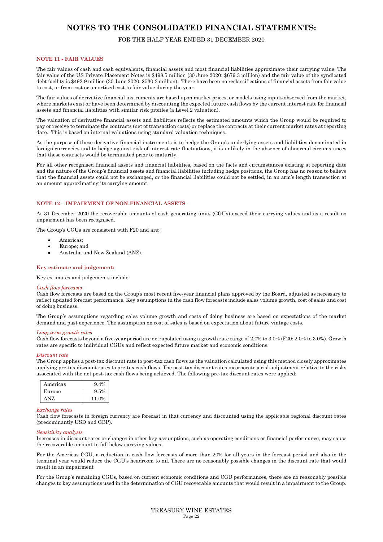## FOR THE HALF YEAR ENDED 31 DECEMBER 2020

#### **NOTE 11 - FAIR VALUES**

The fair values of cash and cash equivalents, financial assets and most financial liabilities approximate their carrying value. The fair value of the US Private Placement Notes is \$498.5 million (30 June 2020: \$679.3 million) and the fair value of the syndicated debt facility is \$492.9 million (30 June 2020: \$530.3 million). There have been no reclassifications of financial assets from fair value to cost, or from cost or amortised cost to fair value during the year.

The fair values of derivative financial instruments are based upon market prices, or models using inputs observed from the market, where markets exist or have been determined by discounting the expected future cash flows by the current interest rate for financial assets and financial liabilities with similar risk profiles (a Level 2 valuation).

The valuation of derivative financial assets and liabilities reflects the estimated amounts which the Group would be required to pay or receive to terminate the contracts (net of transaction costs) or replace the contracts at their current market rates at reporting date. This is based on internal valuations using standard valuation techniques.

As the purpose of these derivative financial instruments is to hedge the Group's underlying assets and liabilities denominated in foreign currencies and to hedge against risk of interest rate fluctuations, it is unlikely in the absence of abnormal circumstances that these contracts would be terminated prior to maturity.

For all other recognised financial assets and financial liabilities, based on the facts and circumstances existing at reporting date and the nature of the Group's financial assets and financial liabilities including hedge positions, the Group has no reason to believe that the financial assets could not be exchanged, or the financial liabilities could not be settled, in an arm's length transaction at an amount approximating its carrying amount.

#### **NOTE 12 – IMPAIRMENT OF NON-FINANCIAL ASSETS**

At 31 December 2020 the recoverable amounts of cash generating units (CGUs) exceed their carrying values and as a result no impairment has been recognised.

The Group's CGUs are consistent with F20 and are:

- Americas;
- Europe; and
- Australia and New Zealand (ANZ).

#### **Key estimate and judgement:**

Key estimates and judgements include:

#### *Cash flow forecasts*

Cash flow forecasts are based on the Group's most recent five-year financial plans approved by the Board, adjusted as necessary to reflect updated forecast performance. Key assumptions in the cash flow forecasts include sales volume growth, cost of sales and cost of doing business.

The Group's assumptions regarding sales volume growth and costs of doing business are based on expectations of the market demand and past experience. The assumption on cost of sales is based on expectation about future vintage costs.

#### *Long-term growth rates*

Cash flow forecasts beyond a five-year period are extrapolated using a growth rate range of 2.0% to 3.0% (F20: 2.0% to 3.0%). Growth rates are specific to individual CGUs and reflect expected future market and economic conditions.

#### *Discount rate*

The Group applies a post-tax discount rate to post-tax cash flows as the valuation calculated using this method closely approximates applying pre-tax discount rates to pre-tax cash flows. The post-tax discount rates incorporate a risk-adjustment relative to the risks associated with the net post-tax cash flows being achieved. The following pre-tax discount rates were applied:

| Americas | $9.4\%$ |
|----------|---------|
| Europe   | 9.5%    |
|          | 11 0%   |

#### *Exchange rates*

Cash flow forecasts in foreign currency are forecast in that currency and discounted using the applicable regional discount rates (predominantly USD and GBP).

#### *Sensitivity analysis*

Increases in discount rates or changes in other key assumptions, such as operating conditions or financial performance, may cause the recoverable amount to fall below carrying values.

For the Americas CGU, a reduction in cash flow forecasts of more than 20% for all years in the forecast period and also in the terminal year would reduce the CGU's headroom to nil. There are no reasonably possible changes in the discount rate that would result in an impairment

For the Group's remaining CGUs, based on current economic conditions and CGU performances, there are no reasonably possible changes to key assumptions used in the determination of CGU recoverable amounts that would result in a impairment to the Group.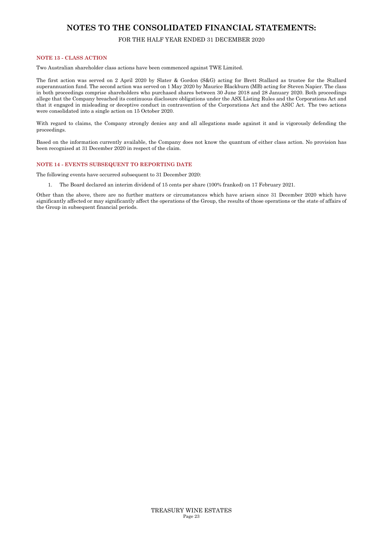## FOR THE HALF YEAR ENDED 31 DECEMBER 2020

#### **NOTE 13 - CLASS ACTION**

Two Australian shareholder class actions have been commenced against TWE Limited.

The first action was served on 2 April 2020 by Slater & Gordon (S&G) acting for Brett Stallard as trustee for the Stallard superannuation fund. The second action was served on 1 May 2020 by Maurice Blackburn (MB) acting for Steven Napier. The class in both proceedings comprise shareholders who purchased shares between 30 June 2018 and 28 January 2020. Both proceedings allege that the Company breached its continuous disclosure obligations under the ASX Listing Rules and the Corporations Act and that it engaged in misleading or deceptive conduct in contravention of the Corporations Act and the ASIC Act. The two actions were consolidated into a single action on 15 October 2020.

With regard to claims, the Company strongly denies any and all allegations made against it and is vigorously defending the proceedings.

Based on the information currently available, the Company does not know the quantum of either class action. No provision has been recognised at 31 December 2020 in respect of the claim.

#### **NOTE 14 - EVENTS SUBSEQUENT TO REPORTING DATE**

The following events have occurred subsequent to 31 December 2020:

1. The Board declared an interim dividend of 15 cents per share (100% franked) on 17 February 2021.

Other than the above, there are no further matters or circumstances which have arisen since 31 December 2020 which have significantly affected or may significantly affect the operations of the Group, the results of those operations or the state of affairs of the Group in subsequent financial periods.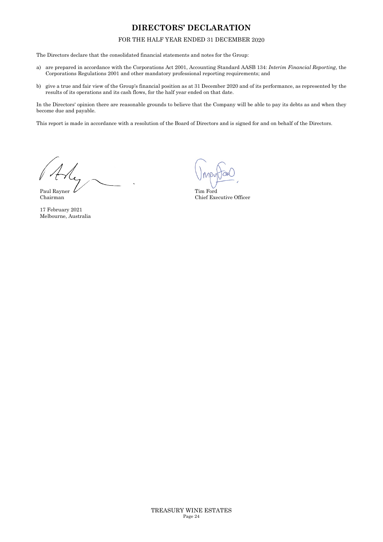## **DIRECTORS' DECLARATION**

## FOR THE HALF YEAR ENDED 31 DECEMBER 2020

The Directors declare that the consolidated financial statements and notes for the Group:

- a) are prepared in accordance with the Corporations Act 2001, Accounting Standard AASB 134: *Interim Financial Reporting*, the Corporations Regulations 2001 and other mandatory professional reporting requirements; and
- b) give a true and fair view of the Group's financial position as at 31 December 2020 and of its performance, as represented by the results of its operations and its cash flows, for the half year ended on that date.

In the Directors' opinion there are reasonable grounds to believe that the Company will be able to pay its debts as and when they become due and payable.

This report is made in accordance with a resolution of the Board of Directors and is signed for and on behalf of the Directors.

Paul Rayner Chairman

17 February 2021 Melbourne, Australia

Tim Ford Chief Executive Officer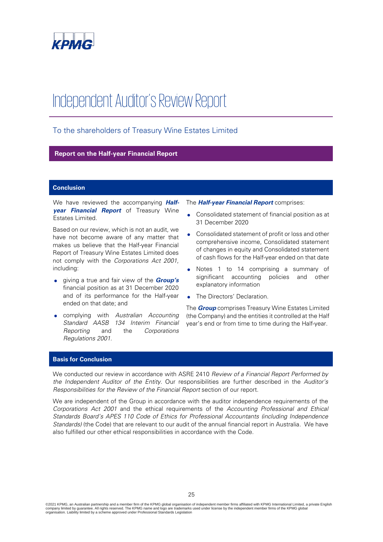

# Independent Auditor's Review Report

## To the shareholders of Treasury Wine Estates Limited

**Report on the Half-year Financial Report**

#### **Conclusion**

We have reviewed the accompanying **Halfyear Financial Report** of Treasury Wine Estates Limited.

Based on our review, which is not an audit, we have not become aware of any matter that makes us believe that the Half-year Financial Report of Treasury Wine Estates Limited does not comply with the Corporations Act 2001, including:

- giving a true and fair view of the **Group's** financial position as at 31 December 2020 and of its performance for the Half-year ended on that date; and
- complying with Australian Accounting Standard AASB 134 Interim Financial Reporting and the Corporations Regulations 2001.

The **Half-year Financial Report** comprises:

- Consolidated statement of financial position as at 31 December 2020
- Consolidated statement of profit or loss and other comprehensive income, Consolidated statement of changes in equity and Consolidated statement of cash flows for the Half-year ended on that date
- Notes 1 to 14 comprising a summary of significant accounting policies and other explanatory information
- The Directors' Declaration.

The **Group** comprises Treasury Wine Estates Limited (the Company) and the entities it controlled at the Half year's end or from time to time during the Half-year.

#### **Basis for Conclusion**

We conducted our review in accordance with ASRE 2410 Review of a Financial Report Performed by the Independent Auditor of the Entity. Our responsibilities are further described in the Auditor's Responsibilities for the Review of the Financial Report section of our report.

We are independent of the Group in accordance with the auditor independence requirements of the Corporations Act 2001 and the ethical requirements of the Accounting Professional and Ethical Standards Board's APES 110 Code of Ethics for Professional Accountants (including Independence Standards) (the Code) that are relevant to our audit of the annual financial report in Australia. We have also fulfilled our other ethical responsibilities in accordance with the Code.